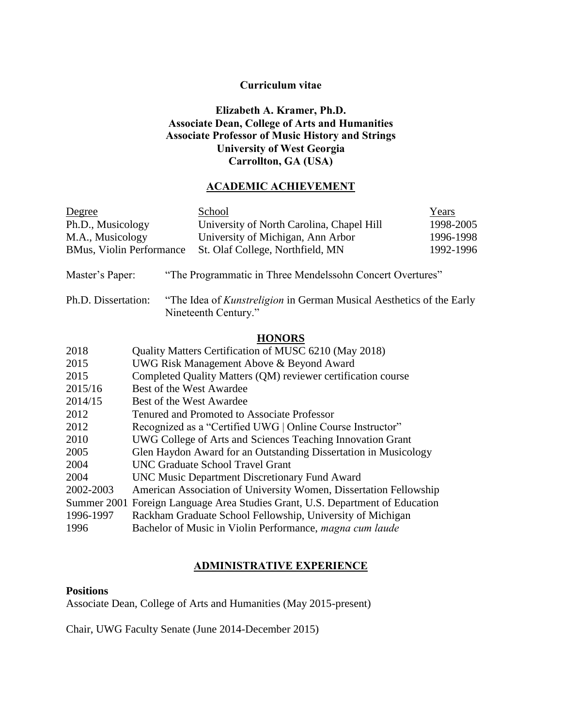# **Curriculum vitae**

# **Elizabeth A. Kramer, Ph.D. Associate Dean, College of Arts and Humanities Associate Professor of Music History and Strings University of West Georgia Carrollton, GA (USA)**

# **ACADEMIC ACHIEVEMENT**

| Degree                                                                                                                     |                                                                   | School                                                    | Years     |  |  |
|----------------------------------------------------------------------------------------------------------------------------|-------------------------------------------------------------------|-----------------------------------------------------------|-----------|--|--|
| Ph.D., Musicology                                                                                                          |                                                                   | University of North Carolina, Chapel Hill                 | 1998-2005 |  |  |
| M.A., Musicology                                                                                                           |                                                                   | University of Michigan, Ann Arbor                         | 1996-1998 |  |  |
| <b>BMus, Violin Performance</b>                                                                                            |                                                                   | St. Olaf College, Northfield, MN                          | 1992-1996 |  |  |
| Master's Paper:                                                                                                            |                                                                   | "The Programmatic in Three Mendelssohn Concert Overtures" |           |  |  |
| Ph.D. Dissertation:<br>"The Idea of <i>Kunstreligion</i> in German Musical Aesthetics of the Early<br>Nineteenth Century." |                                                                   |                                                           |           |  |  |
|                                                                                                                            |                                                                   | <b>HONORS</b>                                             |           |  |  |
| 2018                                                                                                                       | Quality Matters Certification of MUSC 6210 (May 2018)             |                                                           |           |  |  |
| 2015                                                                                                                       | UWG Risk Management Above & Beyond Award                          |                                                           |           |  |  |
| 2015                                                                                                                       | Completed Quality Matters (QM) reviewer certification course      |                                                           |           |  |  |
| 2015/16                                                                                                                    | Best of the West Awardee                                          |                                                           |           |  |  |
| 2014/15                                                                                                                    | Best of the West Awardee                                          |                                                           |           |  |  |
| 2012                                                                                                                       | Tenured and Promoted to Associate Professor                       |                                                           |           |  |  |
| 2012                                                                                                                       | Recognized as a "Certified UWG   Online Course Instructor"        |                                                           |           |  |  |
| 2010                                                                                                                       | UWG College of Arts and Sciences Teaching Innovation Grant        |                                                           |           |  |  |
| 2005                                                                                                                       | Glen Haydon Award for an Outstanding Dissertation in Musicology   |                                                           |           |  |  |
| 2004                                                                                                                       | <b>UNC Graduate School Travel Grant</b>                           |                                                           |           |  |  |
| 2004                                                                                                                       | <b>UNC Music Department Discretionary Fund Award</b>              |                                                           |           |  |  |
| 2002-2003                                                                                                                  | American Association of University Women, Dissertation Fellowship |                                                           |           |  |  |
| Summer 2001                                                                                                                | Foreign Language Area Studies Grant, U.S. Department of Education |                                                           |           |  |  |
| 1996-1997                                                                                                                  | Rackham Graduate School Fellowship, University of Michigan        |                                                           |           |  |  |

1996 Bachelor of Music in Violin Performance, *magna cum laude*

# **ADMINISTRATIVE EXPERIENCE**

# **Positions**

Associate Dean, College of Arts and Humanities (May 2015-present)

Chair, UWG Faculty Senate (June 2014-December 2015)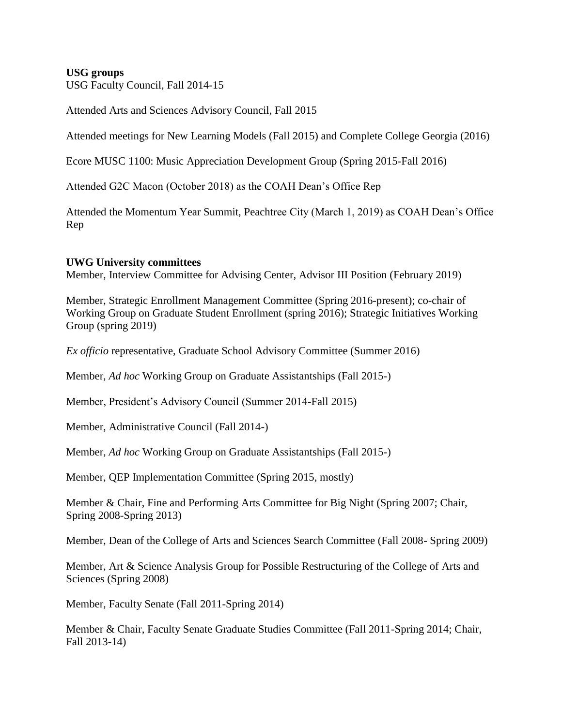# **USG groups**

USG Faculty Council, Fall 2014-15

Attended Arts and Sciences Advisory Council, Fall 2015

Attended meetings for New Learning Models (Fall 2015) and Complete College Georgia (2016)

Ecore MUSC 1100: Music Appreciation Development Group (Spring 2015-Fall 2016)

Attended G2C Macon (October 2018) as the COAH Dean's Office Rep

Attended the Momentum Year Summit, Peachtree City (March 1, 2019) as COAH Dean's Office Rep

# **UWG University committees**

Member, Interview Committee for Advising Center, Advisor III Position (February 2019)

Member, Strategic Enrollment Management Committee (Spring 2016-present); co-chair of Working Group on Graduate Student Enrollment (spring 2016); Strategic Initiatives Working Group (spring 2019)

*Ex officio* representative, Graduate School Advisory Committee (Summer 2016)

Member, *Ad hoc* Working Group on Graduate Assistantships (Fall 2015-)

Member, President's Advisory Council (Summer 2014-Fall 2015)

Member, Administrative Council (Fall 2014-)

Member, *Ad hoc* Working Group on Graduate Assistantships (Fall 2015-)

Member, QEP Implementation Committee (Spring 2015, mostly)

Member & Chair, Fine and Performing Arts Committee for Big Night (Spring 2007; Chair, Spring 2008-Spring 2013)

Member, Dean of the College of Arts and Sciences Search Committee (Fall 2008- Spring 2009)

Member, Art & Science Analysis Group for Possible Restructuring of the College of Arts and Sciences (Spring 2008)

Member, Faculty Senate (Fall 2011-Spring 2014)

Member & Chair, Faculty Senate Graduate Studies Committee (Fall 2011-Spring 2014; Chair, Fall 2013-14)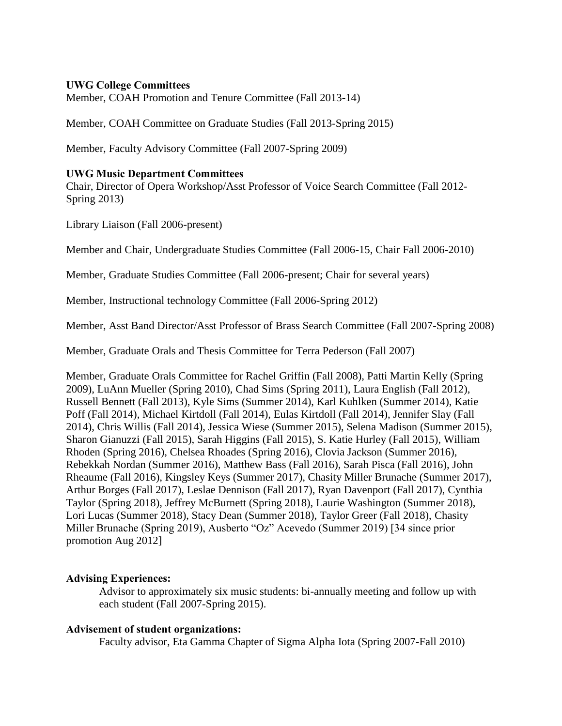## **UWG College Committees**

Member, COAH Promotion and Tenure Committee (Fall 2013-14)

Member, COAH Committee on Graduate Studies (Fall 2013-Spring 2015)

Member, Faculty Advisory Committee (Fall 2007-Spring 2009)

#### **UWG Music Department Committees**

Chair, Director of Opera Workshop/Asst Professor of Voice Search Committee (Fall 2012- Spring 2013)

Library Liaison (Fall 2006-present)

Member and Chair, Undergraduate Studies Committee (Fall 2006-15, Chair Fall 2006-2010)

Member, Graduate Studies Committee (Fall 2006-present; Chair for several years)

Member, Instructional technology Committee (Fall 2006-Spring 2012)

Member, Asst Band Director/Asst Professor of Brass Search Committee (Fall 2007-Spring 2008)

Member, Graduate Orals and Thesis Committee for Terra Pederson (Fall 2007)

Member, Graduate Orals Committee for Rachel Griffin (Fall 2008), Patti Martin Kelly (Spring 2009), LuAnn Mueller (Spring 2010), Chad Sims (Spring 2011), Laura English (Fall 2012), Russell Bennett (Fall 2013), Kyle Sims (Summer 2014), Karl Kuhlken (Summer 2014), Katie Poff (Fall 2014), Michael Kirtdoll (Fall 2014), Eulas Kirtdoll (Fall 2014), Jennifer Slay (Fall 2014), Chris Willis (Fall 2014), Jessica Wiese (Summer 2015), Selena Madison (Summer 2015), Sharon Gianuzzi (Fall 2015), Sarah Higgins (Fall 2015), S. Katie Hurley (Fall 2015), William Rhoden (Spring 2016), Chelsea Rhoades (Spring 2016), Clovia Jackson (Summer 2016), Rebekkah Nordan (Summer 2016), Matthew Bass (Fall 2016), Sarah Pisca (Fall 2016), John Rheaume (Fall 2016), Kingsley Keys (Summer 2017), Chasity Miller Brunache (Summer 2017), Arthur Borges (Fall 2017), Leslae Dennison (Fall 2017), Ryan Davenport (Fall 2017), Cynthia Taylor (Spring 2018), Jeffrey McBurnett (Spring 2018), Laurie Washington (Summer 2018), Lori Lucas (Summer 2018), Stacy Dean (Summer 2018), Taylor Greer (Fall 2018), Chasity Miller Brunache (Spring 2019), Ausberto "Oz" Acevedo (Summer 2019) [34 since prior promotion Aug 2012]

# **Advising Experiences:**

Advisor to approximately six music students: bi-annually meeting and follow up with each student (Fall 2007-Spring 2015).

#### **Advisement of student organizations:**

Faculty advisor, Eta Gamma Chapter of Sigma Alpha Iota (Spring 2007-Fall 2010)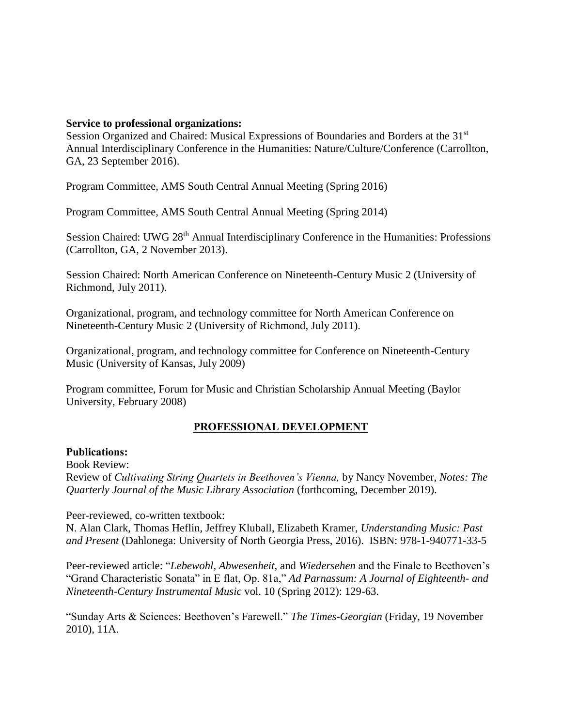## **Service to professional organizations:**

Session Organized and Chaired: Musical Expressions of Boundaries and Borders at the 31<sup>st</sup> Annual Interdisciplinary Conference in the Humanities: Nature/Culture/Conference (Carrollton, GA, 23 September 2016).

Program Committee, AMS South Central Annual Meeting (Spring 2016)

Program Committee, AMS South Central Annual Meeting (Spring 2014)

Session Chaired: UWG 28<sup>th</sup> Annual Interdisciplinary Conference in the Humanities: Professions (Carrollton, GA, 2 November 2013).

Session Chaired: North American Conference on Nineteenth-Century Music 2 (University of Richmond, July 2011).

Organizational, program, and technology committee for North American Conference on Nineteenth-Century Music 2 (University of Richmond, July 2011).

Organizational, program, and technology committee for Conference on Nineteenth-Century Music (University of Kansas, July 2009)

Program committee, Forum for Music and Christian Scholarship Annual Meeting (Baylor University, February 2008)

# **PROFESSIONAL DEVELOPMENT**

#### **Publications:**

Book Review:

Review of *Cultivating String Quartets in Beethoven's Vienna,* by Nancy November, *Notes: The Quarterly Journal of the Music Library Association* (forthcoming, December 2019).

Peer-reviewed, co-written textbook:

N. Alan Clark, Thomas Heflin, Jeffrey Kluball, Elizabeth Kramer, *Understanding Music: Past and Present* (Dahlonega: University of North Georgia Press, 2016). ISBN: 978-1-940771-33-5

Peer-reviewed article: "*Lebewohl*, *Abwesenheit*, and *Wiedersehen* and the Finale to Beethoven's "Grand Characteristic Sonata" in E flat, Op. 81a," *Ad Parnassum: A Journal of Eighteenth- and Nineteenth-Century Instrumental Music* vol. 10 (Spring 2012): 129-63.

"Sunday Arts & Sciences: Beethoven's Farewell." *The Times-Georgian* (Friday, 19 November 2010), 11A.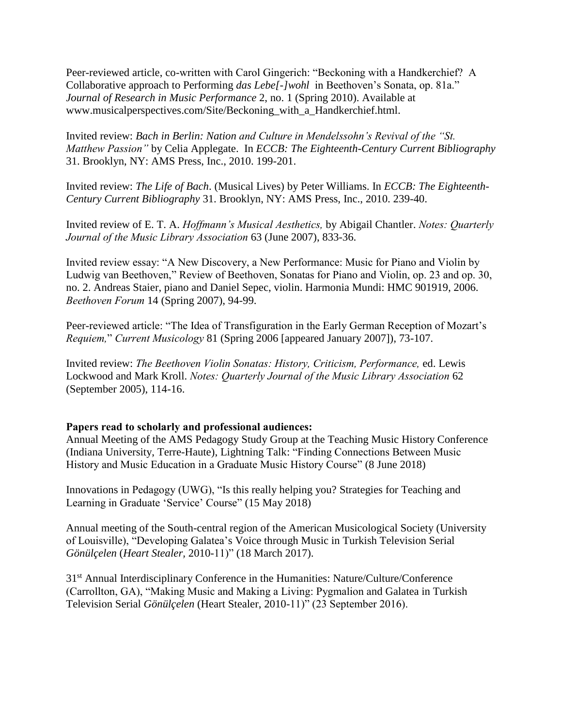Peer-reviewed article, co-written with Carol Gingerich: "Beckoning with a Handkerchief? A Collaborative approach to Performing *das Lebe[-]wohl* in Beethoven's Sonata, op. 81a." *Journal of Research in Music Performance* 2, no. 1 (Spring 2010). Available at www.musicalperspectives.com/Site/Beckoning\_with\_a\_Handkerchief.html.

Invited review: *Bach in Berlin: Nation and Culture in Mendelssohn's Revival of the "St. Matthew Passion"* by Celia Applegate. In *ECCB: The Eighteenth-Century Current Bibliography*  31. Brooklyn, NY: AMS Press, Inc., 2010. 199-201.

Invited review: *The Life of Bach*. (Musical Lives) by Peter Williams. In *ECCB: The Eighteenth-Century Current Bibliography* 31. Brooklyn, NY: AMS Press, Inc., 2010. 239-40.

Invited review of E. T. A. *Hoffmann's Musical Aesthetics,* by Abigail Chantler. *Notes: Quarterly Journal of the Music Library Association* 63 (June 2007), 833-36.

Invited review essay: "A New Discovery, a New Performance: Music for Piano and Violin by Ludwig van Beethoven," Review of Beethoven, Sonatas for Piano and Violin, op. 23 and op. 30, no. 2. Andreas Staier, piano and Daniel Sepec, violin. Harmonia Mundi: HMC 901919, 2006. *Beethoven Forum* 14 (Spring 2007), 94-99.

Peer-reviewed article: "The Idea of Transfiguration in the Early German Reception of Mozart's *Requiem,*" *Current Musicology* 81 (Spring 2006 [appeared January 2007]), 73-107.

Invited review: *The Beethoven Violin Sonatas: History, Criticism, Performance,* ed. Lewis Lockwood and Mark Kroll. *Notes: Quarterly Journal of the Music Library Association* 62 (September 2005), 114-16.

# **Papers read to scholarly and professional audiences:**

Annual Meeting of the AMS Pedagogy Study Group at the Teaching Music History Conference (Indiana University, Terre-Haute), Lightning Talk: "Finding Connections Between Music History and Music Education in a Graduate Music History Course" (8 June 2018)

Innovations in Pedagogy (UWG), "Is this really helping you? Strategies for Teaching and Learning in Graduate 'Service' Course" (15 May 2018)

Annual meeting of the South-central region of the American Musicological Society (University of Louisville), "Developing Galatea's Voice through Music in Turkish Television Serial *Gönülçelen* (*Heart Stealer,* 2010-11)" (18 March 2017).

31<sup>st</sup> Annual Interdisciplinary Conference in the Humanities: Nature/Culture/Conference (Carrollton, GA), "Making Music and Making a Living: Pygmalion and Galatea in Turkish Television Serial *Gönülçelen* (Heart Stealer, 2010-11)" (23 September 2016).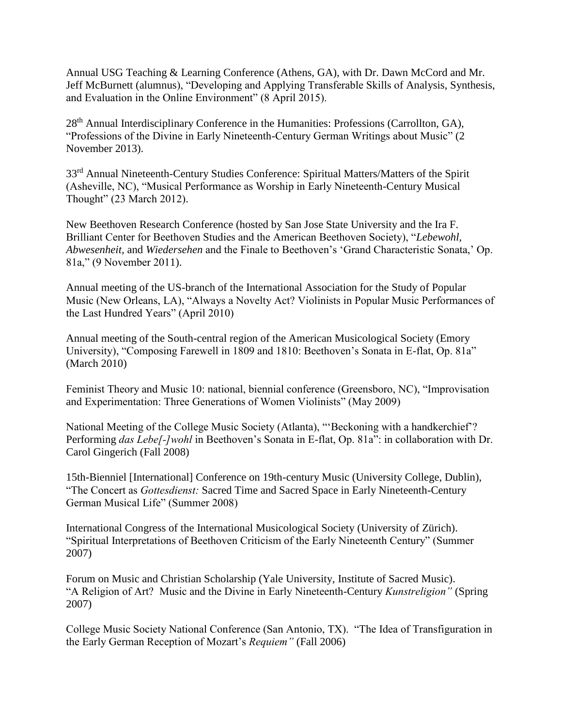Annual USG Teaching & Learning Conference (Athens, GA), with Dr. Dawn McCord and Mr. Jeff McBurnett (alumnus), "Developing and Applying Transferable Skills of Analysis, Synthesis, and Evaluation in the Online Environment" (8 April 2015).

28<sup>th</sup> Annual Interdisciplinary Conference in the Humanities: Professions (Carrollton, GA), "Professions of the Divine in Early Nineteenth-Century German Writings about Music" (2 November 2013).

33rd Annual Nineteenth-Century Studies Conference: Spiritual Matters/Matters of the Spirit (Asheville, NC), "Musical Performance as Worship in Early Nineteenth-Century Musical Thought" (23 March 2012).

New Beethoven Research Conference (hosted by San Jose State University and the Ira F. Brilliant Center for Beethoven Studies and the American Beethoven Society), "*Lebewohl, Abwesenheit,* and *Wiedersehen* and the Finale to Beethoven's 'Grand Characteristic Sonata,' Op. 81a," (9 November 2011).

Annual meeting of the US-branch of the International Association for the Study of Popular Music (New Orleans, LA), "Always a Novelty Act? Violinists in Popular Music Performances of the Last Hundred Years" (April 2010)

Annual meeting of the South-central region of the American Musicological Society (Emory University), "Composing Farewell in 1809 and 1810: Beethoven's Sonata in E-flat, Op. 81a" (March 2010)

Feminist Theory and Music 10: national, biennial conference (Greensboro, NC), "Improvisation and Experimentation: Three Generations of Women Violinists" (May 2009)

National Meeting of the College Music Society (Atlanta), "'Beckoning with a handkerchief'? Performing *das Lebe[-]wohl* in Beethoven's Sonata in E-flat, Op. 81a": in collaboration with Dr. Carol Gingerich (Fall 2008)

15th-Bienniel [International] Conference on 19th-century Music (University College, Dublin), "The Concert as *Gottesdienst:* Sacred Time and Sacred Space in Early Nineteenth-Century German Musical Life" (Summer 2008)

International Congress of the International Musicological Society (University of Zürich). "Spiritual Interpretations of Beethoven Criticism of the Early Nineteenth Century" (Summer 2007)

Forum on Music and Christian Scholarship (Yale University, Institute of Sacred Music). "A Religion of Art? Music and the Divine in Early Nineteenth-Century *Kunstreligion"* (Spring 2007)

College Music Society National Conference (San Antonio, TX). "The Idea of Transfiguration in the Early German Reception of Mozart's *Requiem"* (Fall 2006)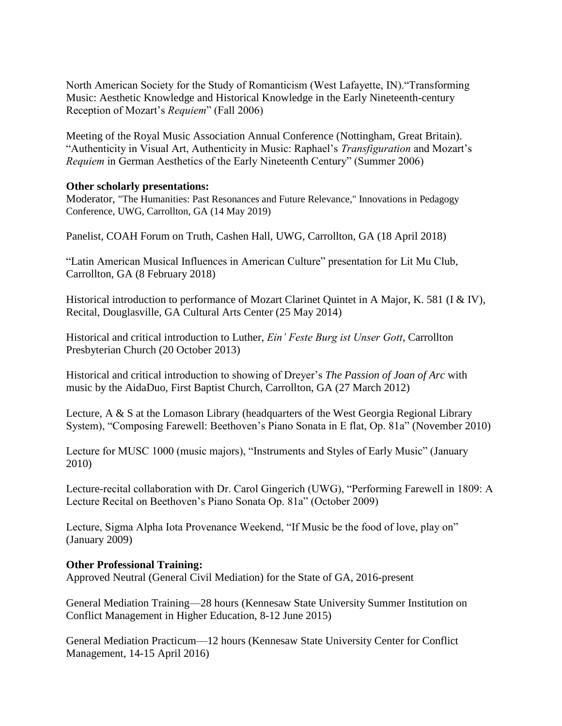North American Society for the Study of Romanticism (West Lafayette, IN)."Transforming Music: Aesthetic Knowledge and Historical Knowledge in the Early Nineteenth-century Reception of Mozart's *Requiem*" (Fall 2006)

Meeting of the Royal Music Association Annual Conference (Nottingham, Great Britain). "Authenticity in Visual Art, Authenticity in Music: Raphael's *Transfiguration* and Mozart's *Requiem* in German Aesthetics of the Early Nineteenth Century" (Summer 2006)

# **Other scholarly presentations:**

Moderator, "The Humanities: Past Resonances and Future Relevance," Innovations in Pedagogy Conference, UWG, Carrollton, GA (14 May 2019)

Panelist, COAH Forum on Truth, Cashen Hall, UWG, Carrollton, GA (18 April 2018)

"Latin American Musical Influences in American Culture" presentation for Lit Mu Club, Carrollton, GA (8 February 2018)

Historical introduction to performance of Mozart Clarinet Quintet in A Major, K. 581 (I & IV), Recital, Douglasville, GA Cultural Arts Center (25 May 2014)

Historical and critical introduction to Luther, *Ein' Feste Burg ist Unser Gott*, Carrollton Presbyterian Church (20 October 2013)

Historical and critical introduction to showing of Dreyer's *The Passion of Joan of Arc* with music by the AidaDuo, First Baptist Church, Carrollton, GA (27 March 2012)

Lecture, A & S at the Lomason Library (headquarters of the West Georgia Regional Library System), "Composing Farewell: Beethoven's Piano Sonata in E flat, Op. 81a" (November 2010)

Lecture for MUSC 1000 (music majors), "Instruments and Styles of Early Music" (January 2010)

Lecture-recital collaboration with Dr. Carol Gingerich (UWG), "Performing Farewell in 1809: A Lecture Recital on Beethoven's Piano Sonata Op. 81a" (October 2009)

Lecture, Sigma Alpha Iota Provenance Weekend, "If Music be the food of love, play on" (January 2009)

# **Other Professional Training:**

Approved Neutral (General Civil Mediation) for the State of GA, 2016-present

General Mediation Training—28 hours (Kennesaw State University Summer Institution on Conflict Management in Higher Education, 8-12 June 2015)

General Mediation Practicum—12 hours (Kennesaw State University Center for Conflict Management, 14-15 April 2016)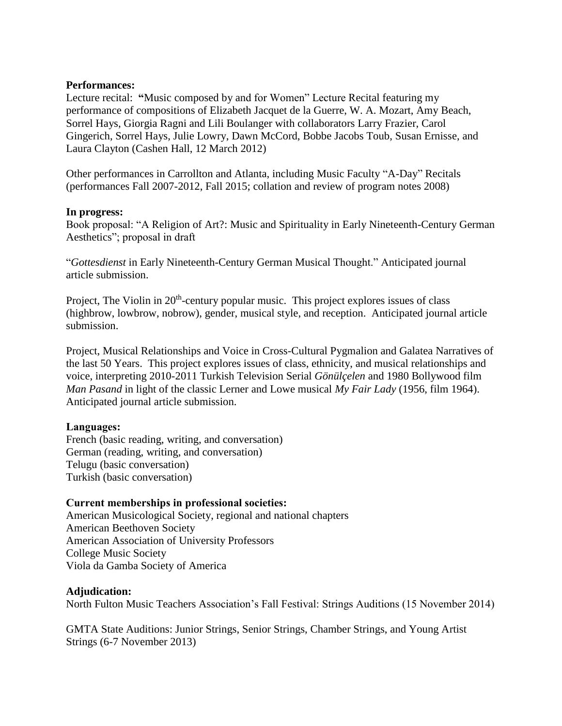# **Performances:**

Lecture recital: **"**Music composed by and for Women" Lecture Recital featuring my performance of compositions of Elizabeth Jacquet de la Guerre, W. A. Mozart, Amy Beach, Sorrel Hays, Giorgia Ragni and Lili Boulanger with collaborators Larry Frazier, Carol Gingerich, Sorrel Hays, Julie Lowry, Dawn McCord, Bobbe Jacobs Toub, Susan Ernisse, and Laura Clayton (Cashen Hall, 12 March 2012)

Other performances in Carrollton and Atlanta, including Music Faculty "A-Day" Recitals (performances Fall 2007-2012, Fall 2015; collation and review of program notes 2008)

## **In progress:**

Book proposal: "A Religion of Art?: Music and Spirituality in Early Nineteenth-Century German Aesthetics"; proposal in draft

"*Gottesdienst* in Early Nineteenth-Century German Musical Thought." Anticipated journal article submission.

Project, The Violin in 20<sup>th</sup>-century popular music. This project explores issues of class (highbrow, lowbrow, nobrow), gender, musical style, and reception. Anticipated journal article submission.

Project, Musical Relationships and Voice in Cross-Cultural Pygmalion and Galatea Narratives of the last 50 Years. This project explores issues of class, ethnicity, and musical relationships and voice, interpreting 2010-2011 Turkish Television Serial *Gönülçelen* and 1980 Bollywood film *Man Pasand* in light of the classic Lerner and Lowe musical *My Fair Lady* (1956, film 1964). Anticipated journal article submission.

# **Languages:**

French (basic reading, writing, and conversation) German (reading, writing, and conversation) Telugu (basic conversation) Turkish (basic conversation)

# **Current memberships in professional societies:**

American Musicological Society, regional and national chapters American Beethoven Society American Association of University Professors College Music Society Viola da Gamba Society of America

# **Adjudication:**

North Fulton Music Teachers Association's Fall Festival: Strings Auditions (15 November 2014)

GMTA State Auditions: Junior Strings, Senior Strings, Chamber Strings, and Young Artist Strings (6-7 November 2013)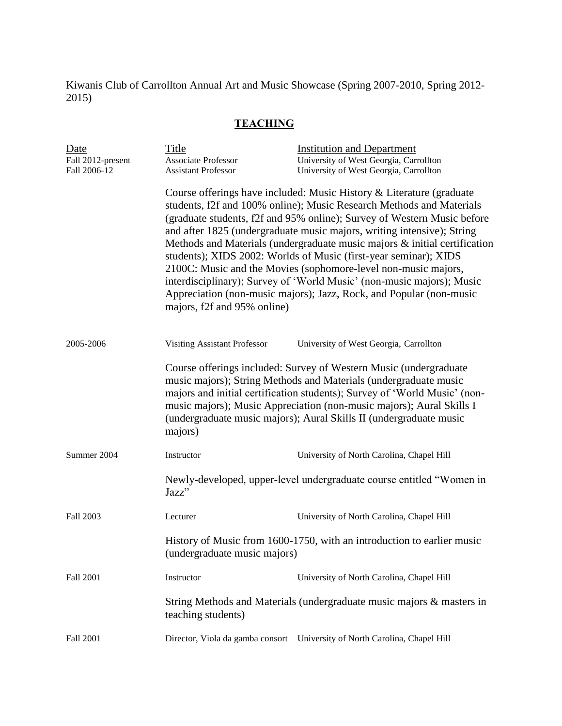Kiwanis Club of Carrollton Annual Art and Music Showcase (Spring 2007-2010, Spring 2012- 2015)

# **TEACHING**

| Date<br>Fall 2012-present<br>Fall 2006-12 | Title<br><b>Associate Professor</b><br><b>Assistant Professor</b>                                      | <b>Institution and Department</b><br>University of West Georgia, Carrollton<br>University of West Georgia, Carrollton                                                                                                                                                                                                                                                                                                                                                                                                                                                                                                                                                |  |  |
|-------------------------------------------|--------------------------------------------------------------------------------------------------------|----------------------------------------------------------------------------------------------------------------------------------------------------------------------------------------------------------------------------------------------------------------------------------------------------------------------------------------------------------------------------------------------------------------------------------------------------------------------------------------------------------------------------------------------------------------------------------------------------------------------------------------------------------------------|--|--|
|                                           | majors, f2f and 95% online)                                                                            | Course offerings have included: Music History & Literature (graduate<br>students, f2f and 100% online); Music Research Methods and Materials<br>(graduate students, f2f and 95% online); Survey of Western Music before<br>and after 1825 (undergraduate music majors, writing intensive); String<br>Methods and Materials (undergraduate music majors & initial certification<br>students); XIDS 2002: Worlds of Music (first-year seminar); XIDS<br>2100C: Music and the Movies (sophomore-level non-music majors,<br>interdisciplinary); Survey of 'World Music' (non-music majors); Music<br>Appreciation (non-music majors); Jazz, Rock, and Popular (non-music |  |  |
| 2005-2006                                 | <b>Visiting Assistant Professor</b>                                                                    | University of West Georgia, Carrollton                                                                                                                                                                                                                                                                                                                                                                                                                                                                                                                                                                                                                               |  |  |
|                                           | majors)                                                                                                | Course offerings included: Survey of Western Music (undergraduate<br>music majors); String Methods and Materials (undergraduate music<br>majors and initial certification students); Survey of 'World Music' (non-<br>music majors); Music Appreciation (non-music majors); Aural Skills I<br>(undergraduate music majors); Aural Skills II (undergraduate music                                                                                                                                                                                                                                                                                                     |  |  |
| Summer 2004                               | Instructor                                                                                             | University of North Carolina, Chapel Hill                                                                                                                                                                                                                                                                                                                                                                                                                                                                                                                                                                                                                            |  |  |
|                                           | Newly-developed, upper-level undergraduate course entitled "Women in<br>Jazz"                          |                                                                                                                                                                                                                                                                                                                                                                                                                                                                                                                                                                                                                                                                      |  |  |
| Fall 2003                                 | Lecturer                                                                                               | University of North Carolina, Chapel Hill                                                                                                                                                                                                                                                                                                                                                                                                                                                                                                                                                                                                                            |  |  |
|                                           | History of Music from 1600-1750, with an introduction to earlier music<br>(undergraduate music majors) |                                                                                                                                                                                                                                                                                                                                                                                                                                                                                                                                                                                                                                                                      |  |  |
| Fall 2001                                 | Instructor                                                                                             | University of North Carolina, Chapel Hill                                                                                                                                                                                                                                                                                                                                                                                                                                                                                                                                                                                                                            |  |  |
|                                           | String Methods and Materials (undergraduate music majors & masters in<br>teaching students)            |                                                                                                                                                                                                                                                                                                                                                                                                                                                                                                                                                                                                                                                                      |  |  |
| Fall 2001                                 |                                                                                                        | Director, Viola da gamba consort University of North Carolina, Chapel Hill                                                                                                                                                                                                                                                                                                                                                                                                                                                                                                                                                                                           |  |  |